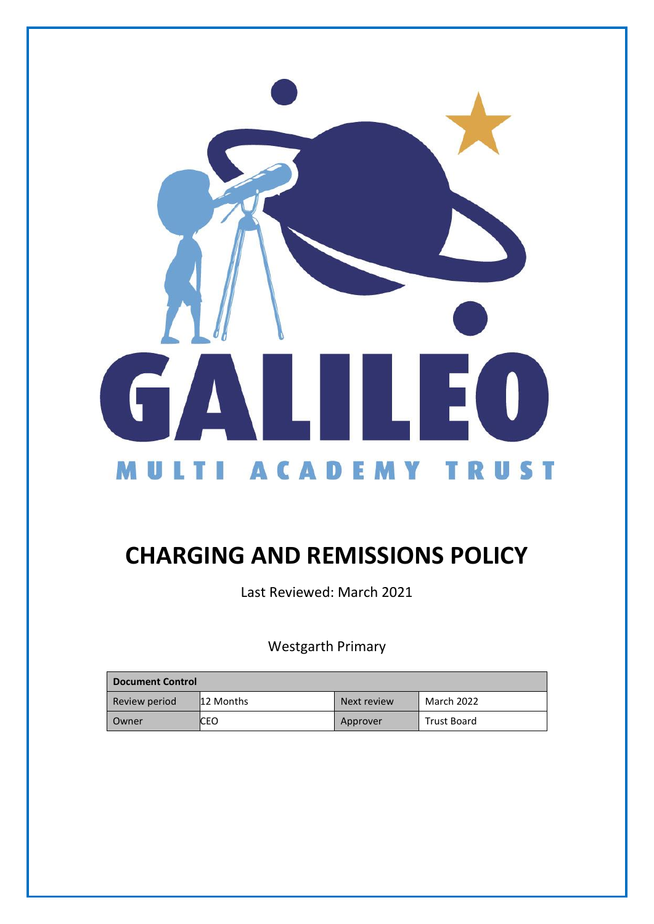

# **CHARGING AND REMISSIONS POLICY**

Last Reviewed: March 2021

Westgarth Primary

| <b>Document Control</b> |           |             |             |
|-------------------------|-----------|-------------|-------------|
| Review period           | 12 Months | Next review | March 2022  |
| Owner                   | ICEO      | Approver    | Trust Board |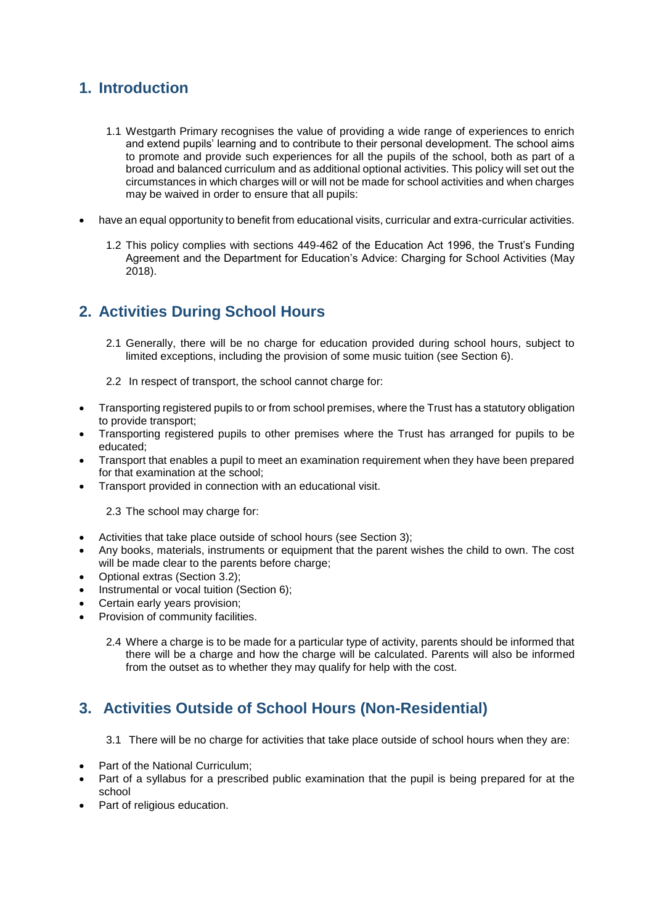# **1. Introduction**

- 1.1 Westgarth Primary recognises the value of providing a wide range of experiences to enrich and extend pupils' learning and to contribute to their personal development. The school aims to promote and provide such experiences for all the pupils of the school, both as part of a broad and balanced curriculum and as additional optional activities. This policy will set out the circumstances in which charges will or will not be made for school activities and when charges may be waived in order to ensure that all pupils:
- have an equal opportunity to benefit from educational visits, curricular and extra-curricular activities.
	- 1.2 This policy complies with sections 449-462 of the Education Act 1996, the Trust's Funding Agreement and the Department for Education's Advice: Charging for School Activities (May 2018).

# **2. Activities During School Hours**

- 2.1 Generally, there will be no charge for education provided during school hours, subject to limited exceptions, including the provision of some music tuition (see Section 6).
- 2.2 In respect of transport, the school cannot charge for:
- Transporting registered pupils to or from school premises, where the Trust has a statutory obligation to provide transport;
- Transporting registered pupils to other premises where the Trust has arranged for pupils to be educated;
- Transport that enables a pupil to meet an examination requirement when they have been prepared for that examination at the school;
- Transport provided in connection with an educational visit.

2.3 The school may charge for:

- Activities that take place outside of school hours (see Section 3);
- Any books, materials, instruments or equipment that the parent wishes the child to own. The cost will be made clear to the parents before charge:
- Optional extras (Section 3.2);
- Instrumental or vocal tuition (Section 6);
- Certain early years provision;
- Provision of community facilities.
	- 2.4 Where a charge is to be made for a particular type of activity, parents should be informed that there will be a charge and how the charge will be calculated. Parents will also be informed from the outset as to whether they may qualify for help with the cost.

### **3. Activities Outside of School Hours (Non-Residential)**

- 3.1 There will be no charge for activities that take place outside of school hours when they are:
- Part of the National Curriculum:
- Part of a syllabus for a prescribed public examination that the pupil is being prepared for at the school
- Part of religious education.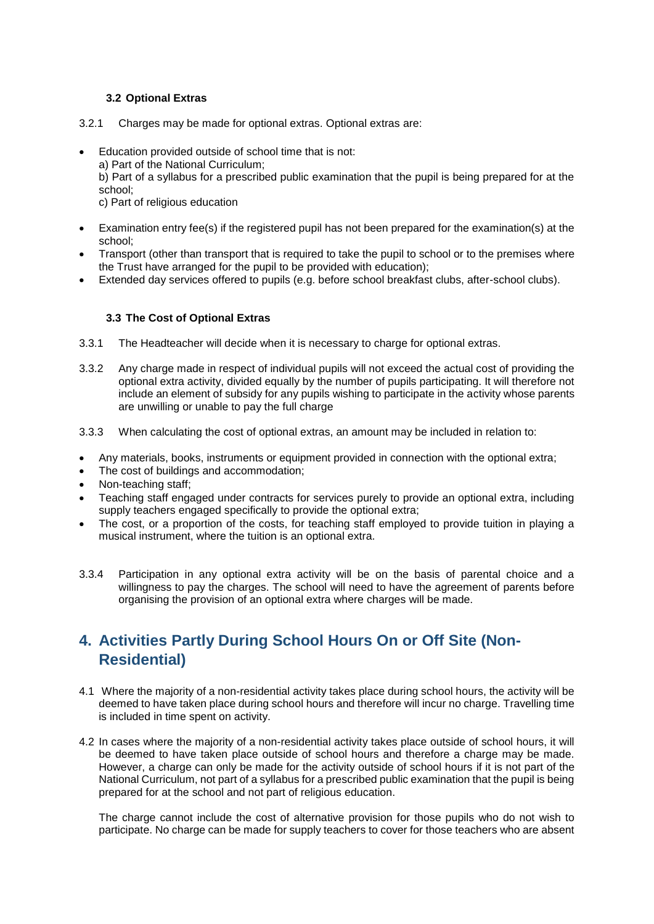#### **3.2 Optional Extras**

- 3.2.1 Charges may be made for optional extras. Optional extras are:
	- Education provided outside of school time that is not:
		- a) Part of the National Curriculum;

b) Part of a syllabus for a prescribed public examination that the pupil is being prepared for at the school;

c) Part of religious education

- Examination entry fee(s) if the registered pupil has not been prepared for the examination(s) at the school;
- Transport (other than transport that is required to take the pupil to school or to the premises where the Trust have arranged for the pupil to be provided with education);
- Extended day services offered to pupils (e.g. before school breakfast clubs, after-school clubs).

#### **3.3 The Cost of Optional Extras**

- 3.3.1 The Headteacher will decide when it is necessary to charge for optional extras.
- 3.3.2 Any charge made in respect of individual pupils will not exceed the actual cost of providing the optional extra activity, divided equally by the number of pupils participating. It will therefore not include an element of subsidy for any pupils wishing to participate in the activity whose parents are unwilling or unable to pay the full charge
- 3.3.3 When calculating the cost of optional extras, an amount may be included in relation to:
- Any materials, books, instruments or equipment provided in connection with the optional extra;
- The cost of buildings and accommodation;
- Non-teaching staff;
- Teaching staff engaged under contracts for services purely to provide an optional extra, including supply teachers engaged specifically to provide the optional extra;
- The cost, or a proportion of the costs, for teaching staff employed to provide tuition in playing a musical instrument, where the tuition is an optional extra.
- 3.3.4 Participation in any optional extra activity will be on the basis of parental choice and a willingness to pay the charges. The school will need to have the agreement of parents before organising the provision of an optional extra where charges will be made.

# **4. Activities Partly During School Hours On or Off Site (Non-Residential)**

- 4.1 Where the majority of a non-residential activity takes place during school hours, the activity will be deemed to have taken place during school hours and therefore will incur no charge. Travelling time is included in time spent on activity.
- 4.2 In cases where the majority of a non-residential activity takes place outside of school hours, it will be deemed to have taken place outside of school hours and therefore a charge may be made. However, a charge can only be made for the activity outside of school hours if it is not part of the National Curriculum, not part of a syllabus for a prescribed public examination that the pupil is being prepared for at the school and not part of religious education.

The charge cannot include the cost of alternative provision for those pupils who do not wish to participate. No charge can be made for supply teachers to cover for those teachers who are absent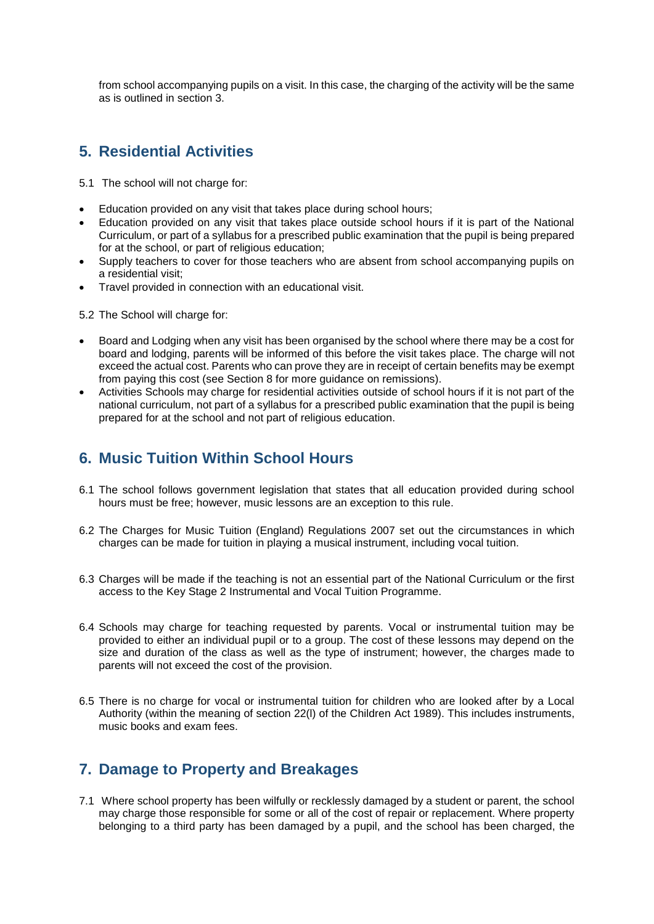from school accompanying pupils on a visit. In this case, the charging of the activity will be the same as is outlined in section 3.

## **5. Residential Activities**

5.1 The school will not charge for:

- Education provided on any visit that takes place during school hours;
- Education provided on any visit that takes place outside school hours if it is part of the National Curriculum, or part of a syllabus for a prescribed public examination that the pupil is being prepared for at the school, or part of religious education;
- Supply teachers to cover for those teachers who are absent from school accompanying pupils on a residential visit;
- Travel provided in connection with an educational visit.
- 5.2 The School will charge for:
- Board and Lodging when any visit has been organised by the school where there may be a cost for board and lodging, parents will be informed of this before the visit takes place. The charge will not exceed the actual cost. Parents who can prove they are in receipt of certain benefits may be exempt from paying this cost (see Section 8 for more guidance on remissions).
- Activities Schools may charge for residential activities outside of school hours if it is not part of the national curriculum, not part of a syllabus for a prescribed public examination that the pupil is being prepared for at the school and not part of religious education.

### **6. Music Tuition Within School Hours**

- 6.1 The school follows government legislation that states that all education provided during school hours must be free; however, music lessons are an exception to this rule.
- 6.2 The Charges for Music Tuition (England) Regulations 2007 set out the circumstances in which charges can be made for tuition in playing a musical instrument, including vocal tuition.
- 6.3 Charges will be made if the teaching is not an essential part of the National Curriculum or the first access to the Key Stage 2 Instrumental and Vocal Tuition Programme.
- 6.4 Schools may charge for teaching requested by parents. Vocal or instrumental tuition may be provided to either an individual pupil or to a group. The cost of these lessons may depend on the size and duration of the class as well as the type of instrument; however, the charges made to parents will not exceed the cost of the provision.
- 6.5 There is no charge for vocal or instrumental tuition for children who are looked after by a Local Authority (within the meaning of section 22(l) of the Children Act 1989). This includes instruments, music books and exam fees.

### **7. Damage to Property and Breakages**

7.1 Where school property has been wilfully or recklessly damaged by a student or parent, the school may charge those responsible for some or all of the cost of repair or replacement. Where property belonging to a third party has been damaged by a pupil, and the school has been charged, the